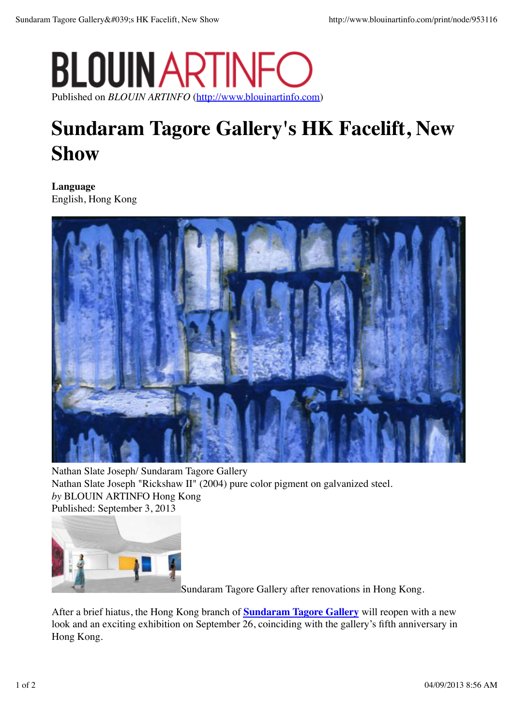## **BLOUIN ART** Published on *BLOUIN ARTINFO* (http://www.blouinartinfo.com)

## **Sundaram Tagore Gallery's HK Facelift, New Show**

**Language** English, Hong Kong



Nathan Slate Joseph/ Sundaram Tagore Gallery Nathan Slate Joseph "Rickshaw II" (2004) pure color pigment on galvanized steel. *by* BLOUIN ARTINFO Hong Kong Published: September 3, 2013



Sundaram Tagore Gallery after renovations in Hong Kong.

After a brief hiatus, the Hong Kong branch of **Sundaram Tagore Gallery** will reopen with a new look and an exciting exhibition on September 26, coinciding with the gallery's fifth anniversary in Hong Kong.